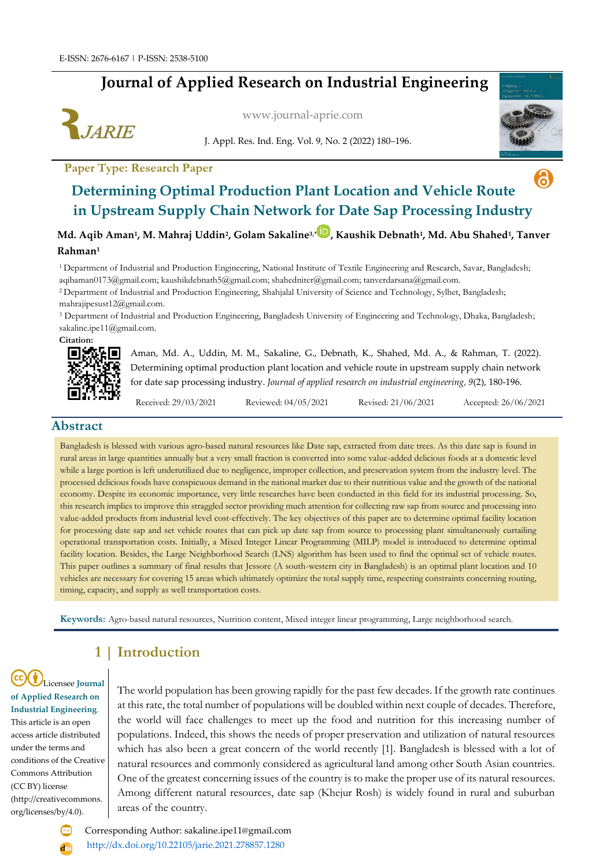# **Journal of Applied Research on Industrial Engineering**



[www.journal-aprie.com](http://www.journal-aprie.com/)

J. Appl. Res. Ind. Eng. Vol. 9, No. 2 (2022) 180–196.



6

# **Paper Type: Research Paper Determining Optimal Production Plant Location and Vehicle Route in Upstream Supply Chain Network for Date Sap Processing Industry**

**Md. Aqib Aman<sup>1</sup> , M. Mahraj Uddin<sup>2</sup> , Golam Sakaline3,[\\*](https://orcid.org/0000-0001-7399-135X) , Kaushik Debnath<sup>1</sup> , Md. Abu Shahed<sup>1</sup> , Tanver Rahman<sup>1</sup>**

<sup>1</sup>Department of Industrial and Production Engineering, National Institute of Textile Engineering and Research, Savar, Bangladesh; [aqibaman0173@gmail.com;](mailto:aqibaman0173@gmail.com) [kaushikdebnath5@gmail.com;](mailto:kaushikdebnath5@gmail.com) [shahedniter@gmail.com;](mailto:shahedniter@gmail.com) tanverdarsana@gmail.com.

<sup>2</sup>Department of Industrial and Production Engineering, Shahjalal University of Science and Technology, Sylhet, Bangladesh; [mahrajipesust12@gmail.com.](mailto:mahrajipesust12@gmail.com)

<sup>3</sup> Department of Industrial and Production Engineering, Bangladesh University of Engineering and Technology, Dhaka, Bangladesh; sakaline.ipe11@gmail.com.

```
Citation:
```


Aman, Md. A., Uddin, M. M., Sakaline, G., Debnath, K., Shahed, Md. A., & Rahman, T. (2022). Determining optimal production plant location and vehicle route in upstream supply chain network for date sap processing industry. *Journal of applied research on industrial engineering, 9*(2), 180-196.

Received: 29/03/2021 Reviewed: 04/05/2021 Revised: 21/06/2021 Accepted: 26/06/2021

#### **Abstract**

Bangladesh is blessed with various agro-based natural resources like Date sap, extracted from date trees. As this date sap is found in rural areas in large quantities annually but a very small fraction is converted into some value-added delicious foods at a domestic level while a large portion is left underutilized due to negligence, improper collection, and preservation system from the industry level. The processed delicious foods have conspicuous demand in the national market due to their nutritious value and the growth of the national economy. Despite its economic importance, very little researches have been conducted in this field for its industrial processing. So, this research implies to improve this straggled sector providing much attention for collecting raw sap from source and processing into value-added products from industrial level cost-effectively. The key objectives of this paper are to determine optimal facility location for processing date sap and set vehicle routes that can pick up date sap from source to processing plant simultaneously curtailing operational transportation costs. Initially, a Mixed Integer Linear Programming (MILP) model is introduced to determine optimal facility location. Besides, the Large Neighborhood Search (LNS) algorithm has been used to find the optimal set of vehicle routes. This paper outlines a summary of final results that Jessore (A south-western city in Bangladesh) is an optimal plant location and 10 vehicles are necessary for covering 15 areas which ultimately optimize the total supply time, respecting constraints concerning routing, timing, capacity, and supply as well transportation costs.

**Keywords:** Agro-based natural resources, Nutrition content, Mixed integer linear programming, Large neighborhood search.

## **1 | Introduction**

Licensee **Journal of Applied Research on Industrial Engineering**. This article is an open access article distributed under the terms and conditions of the Creative Commons Attribution (CC BY) license (http://creativecommons. org/licenses/by/4.0).

The world population has been growing rapidly for the past few decades. If the growth rate continues at this rate, the total number of populations will be doubled within next couple of decades. Therefore, the world will face challenges to meet up the food and nutrition for this increasing number of populations. Indeed, this shows the needs of proper preservation and utilization of natural resources which has also been a great concern of the world recently [1]. Bangladesh is blessed with a lot of natural resources and commonly considered as agricultural land among other South Asian countries. One of the greatest concerning issues of the country is to make the proper use of its natural resources. Among different natural resources, date sap (Khejur Rosh) is widely found in rural and suburban areas of the country.

 Corresponding Author: sakaline.ipe11@gmail.com <http://dx.doi.org/10.22105/jarie.2021.278857.1280>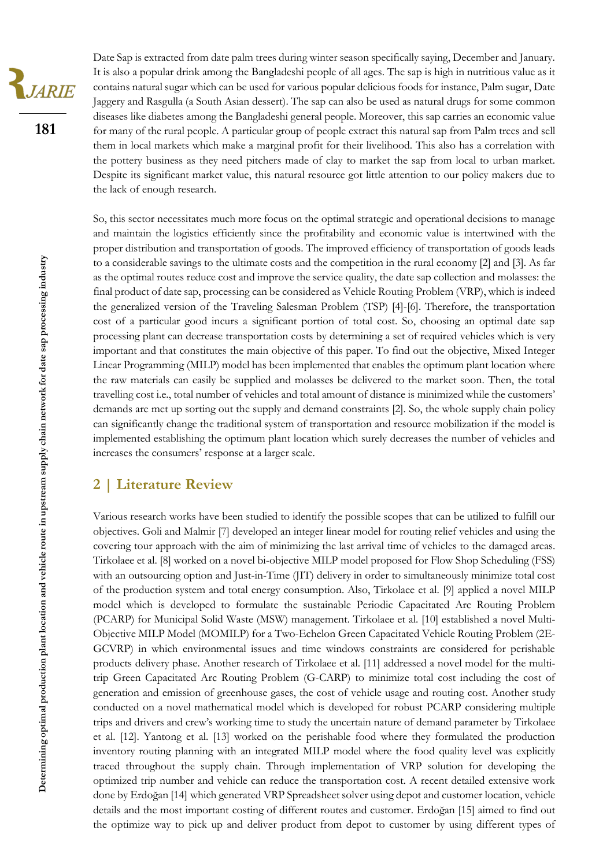

**181**

Date Sap is extracted from date palm trees during winter season specifically saying, December and January. It is also a popular drink among the Bangladeshi people of all ages. The sap is high in nutritious value as it contains natural sugar which can be used for various popular delicious foods for instance, Palm sugar, Date Jaggery and Rasgulla (a South Asian dessert). The sap can also be used as natural drugs for some common diseases like diabetes among the Bangladeshi general people. Moreover, this sap carries an economic value for many of the rural people. A particular group of people extract this natural sap from Palm trees and sell them in local markets which make a marginal profit for their livelihood. This also has a correlation with the pottery business as they need pitchers made of clay to market the sap from local to urban market. Despite its significant market value, this natural resource got little attention to our policy makers due to the lack of enough research.

So, this sector necessitates much more focus on the optimal strategic and operational decisions to manage and maintain the logistics efficiently since the profitability and economic value is intertwined with the proper distribution and transportation of goods. The improved efficiency of transportation of goods leads to a considerable savings to the ultimate costs and the competition in the rural economy [2] and [3]. As far as the optimal routes reduce cost and improve the service quality, the date sap collection and molasses: the final product of date sap, processing can be considered as Vehicle Routing Problem (VRP), which is indeed the generalized version of the Traveling Salesman Problem (TSP) [4]-[6]. Therefore, the transportation cost of a particular good incurs a significant portion of total cost. So, choosing an optimal date sap processing plant can decrease transportation costs by determining a set of required vehicles which is very important and that constitutes the main objective of this paper. To find out the objective, Mixed Integer Linear Programming (MILP) model has been implemented that enables the optimum plant location where the raw materials can easily be supplied and molasses be delivered to the market soon. Then, the total travelling cost i.e., total number of vehicles and total amount of distance is minimized while the customers' demands are met up sorting out the supply and demand constraints [2]. So, the whole supply chain policy can significantly change the traditional system of transportation and resource mobilization if the model is implemented establishing the optimum plant location which surely decreases the number of vehicles and increases the consumers' response at a larger scale.

## **2 | Literature Review**

Various research works have been studied to identify the possible scopes that can be utilized to fulfill our objectives. Goli and Malmir [7] developed an integer linear model for routing relief vehicles and using the covering tour approach with the aim of minimizing the last arrival time of vehicles to the damaged areas. Tirkolaee et al. [8] worked on a novel bi-objective MILP model proposed for Flow Shop Scheduling (FSS) with an outsourcing option and Just-in-Time (JIT) delivery in order to simultaneously minimize total cost of the production system and total energy consumption. Also, Tirkolaee et al. [9] applied a novel MILP model which is developed to formulate the sustainable Periodic Capacitated Arc Routing Problem (PCARP) for Municipal Solid Waste (MSW) management. Tirkolaee et al. [10] established a novel Multi-Objective MILP Model (MOMILP) for a Two-Echelon Green Capacitated Vehicle Routing Problem (2E-GCVRP) in which environmental issues and time windows constraints are considered for perishable products delivery phase. Another research of Tirkolaee et al. [11] addressed a novel model for the multitrip Green Capacitated Arc Routing Problem (G-CARP) to minimize total cost including the cost of generation and emission of greenhouse gases, the cost of vehicle usage and routing cost. Another study conducted on a novel mathematical model which is developed for robust PCARP considering multiple trips and drivers and crew's working time to study the uncertain nature of demand parameter by Tirkolaee et al. [12]. Yantong et al. [13] worked on the perishable food where they formulated the production inventory routing planning with an integrated MILP model where the food quality level was explicitly traced throughout the supply chain. Through implementation of VRP solution for developing the optimized trip number and vehicle can reduce the transportation cost. A recent detailed extensive work done by Erdoğan [14] which generated VRP Spreadsheet solver using depot and customer location, vehicle details and the most important costing of different routes and customer. Erdoğan [15] aimed to find out the optimize way to pick up and deliver product from depot to customer by using different types of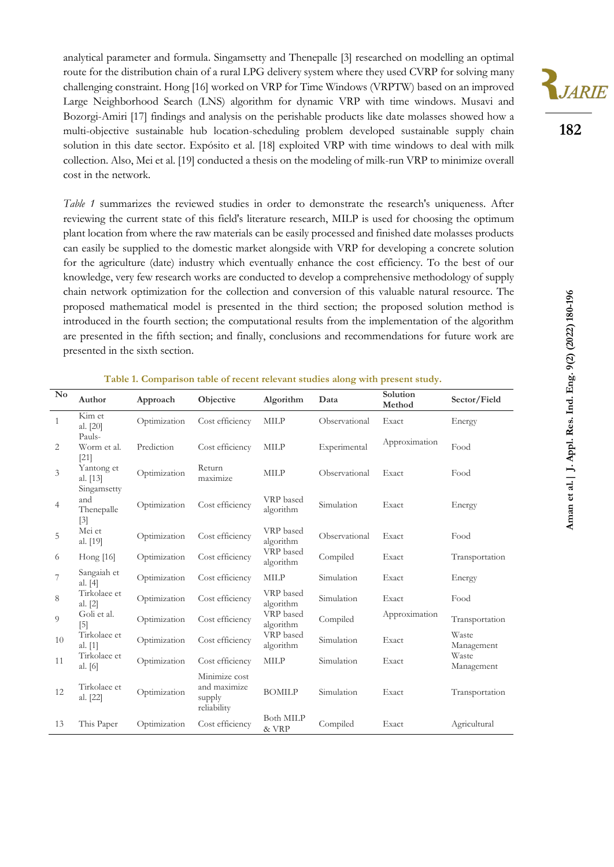analytical parameter and formula. Singamsetty and Thenepalle [3] researched on modelling an optimal route for the distribution chain of a rural LPG delivery system where they used CVRP for solving many challenging constraint. Hong [16] worked on VRP for Time Windows (VRPTW) based on an improved Large Neighborhood Search (LNS) algorithm for dynamic VRP with time windows. Musavi and Bozorgi-Amiri [17] findings and analysis on the perishable products like date molasses showed how a multi-objective sustainable hub location-scheduling problem developed sustainable supply chain solution in this date sector. Expósito et al. [18] exploited VRP with time windows to deal with milk collection. Also, Mei et al. [19] conducted a thesis on the modeling of milk-run VRP to minimize overall cost in the network.

*Table 1* summarizes the reviewed studies in order to demonstrate the research's uniqueness. After reviewing the current state of this field's literature research, MILP is used for choosing the optimum plant location from where the raw materials can be easily processed and finished date molasses products can easily be supplied to the domestic market alongside with VRP for developing a concrete solution for the agriculture (date) industry which eventually enhance the cost efficiency. To the best of our knowledge, very few research works are conducted to develop a comprehensive methodology of supply chain network optimization for the collection and conversion of this valuable natural resource. The proposed mathematical model is presented in the third section; the proposed solution method is introduced in the fourth section; the computational results from the implementation of the algorithm are presented in the fifth section; and finally, conclusions and recommendations for future work are presented in the sixth section.



#### **Table 1. Comparison table of recent relevant studies along with present study.**

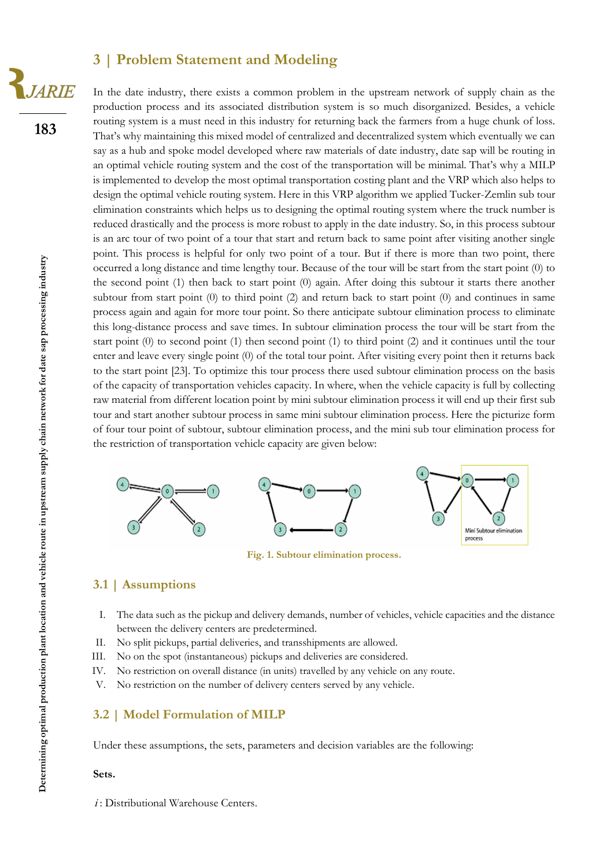### **3 | Problem Statement and Modeling**

**183**

**JARIE** 

In the date industry, there exists a common problem in the upstream network of supply chain as the production process and its associated distribution system is so much disorganized. Besides, a vehicle routing system is a must need in this industry for returning back the farmers from a huge chunk of loss. That's why maintaining this mixed model of centralized and decentralized system which eventually we can say as a hub and spoke model developed where raw materials of date industry, date sap will be routing in an optimal vehicle routing system and the cost of the transportation will be minimal. That's why a MILP is implemented to develop the most optimal transportation costing plant and the VRP which also helps to design the optimal vehicle routing system. Here in this VRP algorithm we applied Tucker-Zemlin sub tour elimination constraints which helps us to designing the optimal routing system where the truck number is reduced drastically and the process is more robust to apply in the date industry. So, in this process subtour is an arc tour of two point of a tour that start and return back to same point after visiting another single point. This process is helpful for only two point of a tour. But if there is more than two point, there occurred a long distance and time lengthy tour. Because of the tour will be start from the start point (0) to the second point (1) then back to start point (0) again. After doing this subtour it starts there another subtour from start point (0) to third point (2) and return back to start point (0) and continues in same process again and again for more tour point. So there anticipate subtour elimination process to eliminate this long-distance process and save times. In subtour elimination process the tour will be start from the start point (0) to second point (1) then second point (1) to third point (2) and it continues until the tour enter and leave every single point (0) of the total tour point. After visiting every point then it returns back to the start point [23]. To optimize this tour process there used subtour elimination process on the basis of the capacity of transportation vehicles capacity. In where, when the vehicle capacity is full by collecting raw material from different location point by mini subtour elimination process it will end up their first sub tour and start another subtour process in same mini subtour elimination process. Here the picturize form of four tour point of subtour, subtour elimination process, and the mini sub tour elimination process for the restriction of transportation vehicle capacity are given below:



**Fig. 1. Subtour elimination process.**

#### **3.1 | Assumptions**

- I. The data such as the pickup and delivery demands, number of vehicles, vehicle capacities and the distance between the delivery centers are predetermined.
- II. No split pickups, partial deliveries, and transshipments are allowed.
- III. No on the spot (instantaneous) pickups and deliveries are considered.
- IV. No restriction on overall distance (in units) travelled by any vehicle on any route.
- V. No restriction on the number of delivery centers served by any vehicle.

#### **3.2 | Model Formulation of MILP**

Under these assumptions, the sets, parameters and decision variables are the following:

#### **Sets.**

*i*: Distributional Warehouse Centers.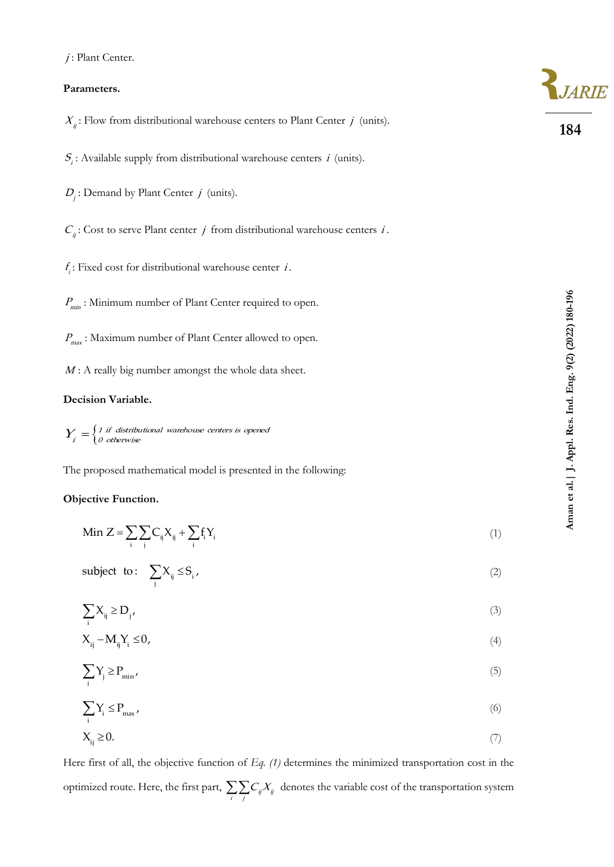#### **Parameters.**

| $X_{ii}$ : Flow from distributional warehouse centers to Plant Center j (units).                | 184                     |
|-------------------------------------------------------------------------------------------------|-------------------------|
| $S_i$ : Available supply from distributional warehouse centers <i>i</i> (units).                |                         |
| $D_i$ : Demand by Plant Center $j$ (units).                                                     |                         |
| $C_{ii}$ : Cost to serve Plant center <i>j</i> from distributional warehouse centers <i>i</i> . |                         |
| $f_i$ : Fixed cost for distributional warehouse center <i>i</i> .                               |                         |
| $P_{\text{min}}$ : Minimum number of Plant Center required to open.                             |                         |
| $P_{\text{max}}$ : Maximum number of Plant Center allowed to open.                              | ng. 9(2) (2022) 180-196 |
| $M$ : A really big number amongst the whole data sheet.                                         |                         |

### **Decision Variable.**

 $=\begin{cases} 1 \text{ if } \text{ distributional} \text{ warehouse centers is opened} \ 0 \text{ otherwise} \end{cases}$  $Y_i = \begin{cases} \n1 & \text{if} \quad \text{distribu} \\ \n0 & \text{otherwise}\n\end{cases}$ 

The proposed mathematical model is presented in the following:

#### **Objective Function.**

| Min $Z = \sum \sum C_{ij} X_{ij} + \sum f_i Y_i$ |  |
|--------------------------------------------------|--|
|                                                  |  |

subject to: 
$$
\sum_{j} X_{ij} \leq S_i,
$$
 (2)

$$
\sum_{i} X_{ij} \ge D_j \tag{3}
$$

$$
X_{ij} - M_{ij} Y_i \le 0,\tag{4}
$$

$$
\sum_{i} Y_{j} \ge P_{\min},\tag{5}
$$

$$
\sum_{i} Y_{i} \le P_{\text{max}} \tag{6}
$$

$$
X_{ij} \ge 0. \tag{7}
$$

Here first of all, the objective function of *Eq. (1)* determines the minimized transportation cost in the optimized route. Here, the first part,  $\sum_{i} \sum_{j} C_{ij} X_{ij}$  $C_{\mu}X_{\mu}$  denotes the variable cost of the transportation system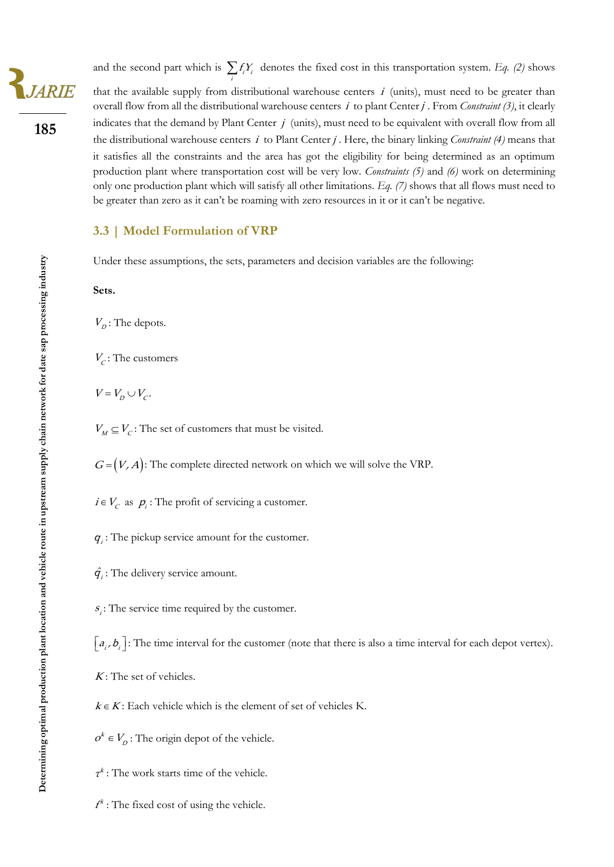**185**

and the second part which is  $\sum_i f_i Y_i$  $f_i Y_i$  denotes the fixed cost in this transportation system. *Eq.* (2) shows that the available supply from distributional warehouse centers  $i$  (units), must need to be greater than overall flow from all the distributional warehouse centers *i* to plant Center *j*. From *Constraint* (3), it clearly indicates that the demand by Plant Center  $j$  (units), must need to be equivalent with overall flow from all the distributional warehouse centers *i* to Plant Center *j*. Here, the binary linking *Constraint* (4) means that it satisfies all the constraints and the area has got the eligibility for being determined as an optimum production plant where transportation cost will be very low. *Constraints (5)* and *(6)* work on determining only one production plant which will satisfy all other limitations. *Eq. (7)* shows that all flows must need to be greater than zero as it can't be roaming with zero resources in it or it can't be negative.

#### **3.3 | Model Formulation of VRP**

Under these assumptions, the sets, parameters and decision variables are the following:

#### **Sets.**

 $V_p$ : The depots.

 $V_c$ : The customers

 $V = V_D \cup V_C$ .

 $V_M \subseteq V_C$ : The set of customers that must be visited.

 $G = (V, A)$ : The complete directed network on which we will solve the VRP.

 $i \in V_c$  as  $p_i$ : The profit of servicing a customer.

 $q_i$ : The pickup service amount for the customer.

 $\hat{q}_i$ : The delivery service amount.

 $s_i$ : The service time required by the customer.

 $\lfloor a_i, b_i \rfloor$ : The time interval for the customer (note that there is also a time interval for each depot vertex).

 $K$ : The set of vehicles.

 $k \in K$ : Each vehicle which is the element of set of vehicles K.

 $k \in$  $o^k \in V_p$ : The origin depot of the vehicle.

 $\tau^k$ : The work starts time of the vehicle.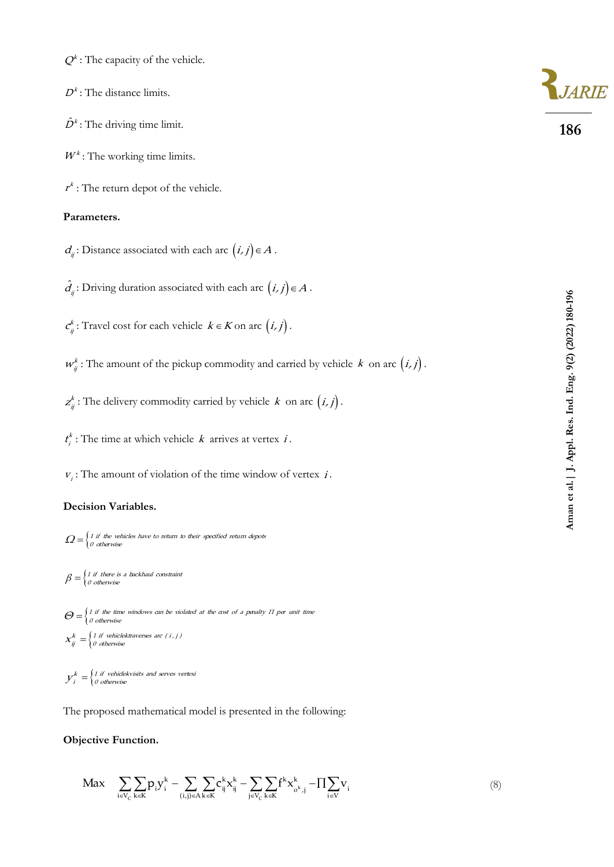$Q^k$ : The capacity of the vehicle.

 $D<sup>k</sup>$ : The distance limits.

 $\hat{D}^k$ : The driving time limit.

 $W^k$ : The working time limits.

 $r^k$ : The return depot of the vehicle.

#### **Parameters.**

 $d_{ij}$ : Distance associated with each arc  $(i, j) \in A$ .

ij  $\hat{d}_n$ : Driving duration associated with each arc  $(i, j) \in A$ .

k  $c_{ij}^k$ : Travel cost for each vehicle  $k \in K$  on arc  $(i, j)$ .

 $w_{ij}^k$ : The amount of the pickup commodity and carried by vehicle k on arc  $(i, j)$ .

k  $z_{ij}^k$ : The delivery commodity carried by vehicle  $k$  on arc  $(i, j)$ .

k  $t_i^k$ : The time at which vehicle k arrives at vertex i.

 $v_i$ : The amount of violation of the time window of vertex *i*.

#### **Decision Variables.**

 $\varOmega\!=\!\!\left\{\begin{array}{l} \!\!\!1 \text{ if the vehicles have to return to their specified return depots}\ \!\!\!0 \text{ otherwise} \end{array}\right.$ 

 $=\begin{cases} 1 \text{ if there is a backhaul constraint} \\ 0 \text{ otherwise} \end{cases}$  $\beta = \begin{cases} 1 & \text{if there is} \\ 0 & \text{otherwise} \end{cases}$ 

 $\Theta$  =  $\left\{ \begin{matrix} 1 \text{ if the time windows can be violated at the cost of a penalty } \Pi \text{ per unit time} \ 0 \text{ otherwise} \end{matrix} \right.$  $=\begin{cases} 1 \text{ if } \text{ vehiclektraverses are } (i, j) \\ 0 \text{ otherwise} \end{cases}$ <sup>0</sup> otherwise  $X_{ij}^k = \begin{cases} 1 \text{ if vehiclektraverses arc } (i, j) \\ 0 \text{ otherwise} \end{cases}$ 

 $\frac{k}{i} = \begin{cases} 1 \text{ if vehiclekvisits and serves vertex} \\ 0 \text{ otherwise} \end{cases}$  $y_i^n = \begin{cases} 1 & \text{if } i \neq 0 \\ 0 & \text{otherwise} \end{cases}$ 

The proposed mathematical model is presented in the following:

#### **Objective Function.**

$$
\begin{aligned}\n\text{Max} \quad & \sum_{i \in V_C} \sum_{k \in K} p_i y_i^k - \sum_{(i,j) \in A} \sum_{k \in K} c_{ij}^k x_{ij}^k - \sum_{j \in V_C} \sum_{k \in K} f^k x_{\sigma^k, j}^k - \prod_{i \in V} v_i\n\end{aligned}\n\tag{8}
$$



**186**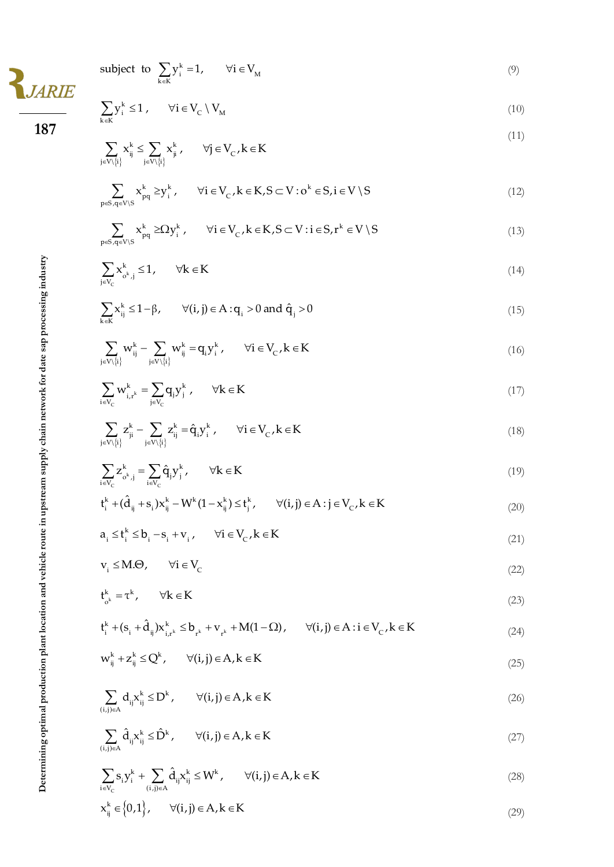|                                                                    | subject to $\sum_{i} y_i^k = 1$ , $\forall i \in V_M$                                                                                                |
|--------------------------------------------------------------------|------------------------------------------------------------------------------------------------------------------------------------------------------|
| <b>IARIE</b><br>187                                                | $\sum y_i^k \leq 1 \; , \qquad \forall i \in V_{\text{C}} \setminus V_{\text{M}}$                                                                    |
|                                                                    | $\sum_{j \in V \backslash \{i\}} x_{ij}^k \leq \sum_{j \in V \backslash \{i\}} x_{ji}^k\,, \qquad \forall j \in V_{_C}, k \in K$                     |
|                                                                    | $\sum_{p\in S, \alpha\in V\backslash S} x_{pq}^k \geq y_i^k$ , $\forall i \in V_c, k \in K, S \subset V: o^k \in S, i \in V \setminus S$             |
|                                                                    | $\sum_{p\in S, \alpha\in V\backslash S} x^k_{pq} \geq \Omega y^k_i, \qquad \forall i\in V_C, k\in K, S\subset V: i\in S, r^k\in V\setminus S$        |
|                                                                    | $\sum_{i\in V} x_{o^k,j}^k \leq 1, \qquad \forall k \in K$                                                                                           |
|                                                                    | $\sum_{i} x_{ij}^k \le 1 - \beta$ , $\forall (i, j) \in A : q_i > 0$ and $\hat{q}_j > 0$                                                             |
| upstream supply chain network for date sap processing industry     | $\sum_{i \in V \setminus \{i\}} w_{ij}^k - \sum_{i \in V \setminus \{i\}} w_{ij}^k = q_i y_i^k, \qquad \forall i \in V_{\text{C}}, k \in K$          |
|                                                                    | $\sum_{i \in V_c} w_{i,r^k}^k = \sum_{i \in V_-} q_j y_j^k , \quad \forall k \in K$                                                                  |
|                                                                    | $\sum_{i \in V \setminus \{i\}} z_{ji}^k - \sum_{i \in V \setminus \{i\}} z_{ij}^k = \hat{q}_i y_i^k, \qquad \forall i \in V_{\mathcal{C}}, k \in K$ |
|                                                                    | $\sum_{i \in V} z_{o^k, j}^k = \sum_{i \in V} \hat{q}_j y_j^k, \quad \forall k \in K$                                                                |
|                                                                    | $t_i^k + (\hat{d}_{ii} + s_i)x_{ii}^k - W^k(1 - x_{ii}^k) \le t_i^k, \qquad \forall (i, j) \in A : j \in V_c, k \in K$                               |
|                                                                    | $a_i \leq t_i^k \leq b_i - s_i + v_i$ , $\forall i \in V_c$ , $k \in K$                                                                              |
|                                                                    | $v_i \leq M.\Theta$ , $\forall i \in V_c$                                                                                                            |
|                                                                    | $t_{k}^{k} = \tau^{k}$ , $\forall k \in K$                                                                                                           |
|                                                                    | $t_i^k + (s_i + \hat{d}_{ij})x_{i,r^k}^k \le b_{r^k} + v_{r^k} + M(1-\Omega), \quad \forall (i,j) \in A : i \in V_C, k \in K$                        |
|                                                                    | $w_{ii}^k + z_{ii}^k \le Q^k$ , $\forall (i, j) \in A, k \in K$                                                                                      |
| Determining optimal production plant location and vehicle route in | $\sum_{(i,j)\in A} d_{ij} x_{ij}^k \leq D^k, \qquad \forall (i,j)\in A, k\in K$                                                                      |
|                                                                    | $\sum_{(i,j)\in A}\hat{d}_{ij}x_{ij}^{k}\leq \hat{D}^{k},\qquad \forall (i,j)\in A, k\in K$                                                          |
|                                                                    | $\sum_{i \in V_c} s_i y_i^k + \sum_{(i,j) \in A} \hat{d}_{ij} x_{ij}^k \leq W^k, \qquad \forall (i,j) \in A, k \in K$                                |
|                                                                    | $x_{_{\textup{ii}}}^{_{\textup{k}}}\!\in\!\left\{0,1\right\}, \qquad \forall (i,j)\!\in\!A, k\!\in\!K$                                               |

 $(9)$ 

(10 )

(11 )

 $(12)$ 

(1 3 )

(14)

(15 )

(16 )

(17 )

(18 )

(19 )

(20 )

(21 )

(22 )

(23 )

(24)

(25 )

(26 )

(27 )

(28 )

(29 )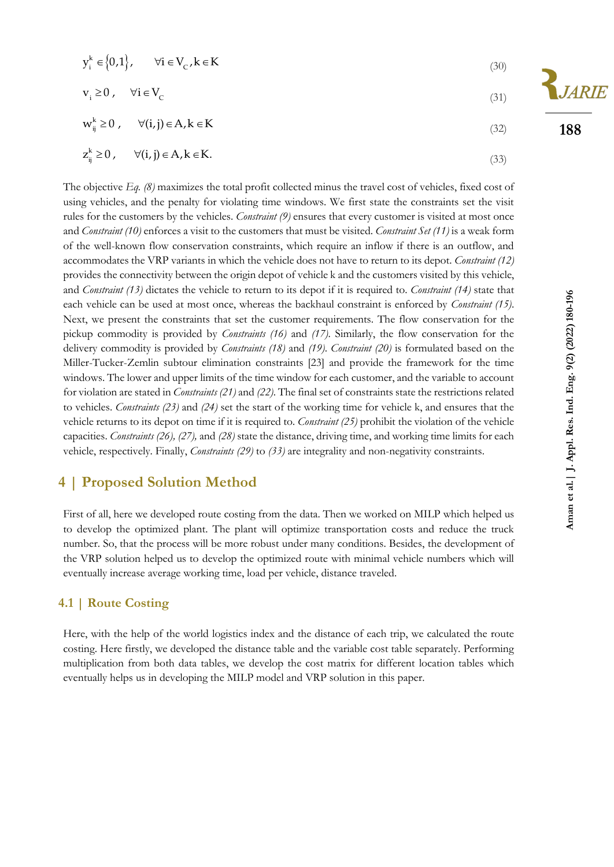$$
y_i^k \in \{0, 1\}, \qquad \forall i \in V_c, k \in K
$$
\n
$$
(30)
$$

$$
v_i \ge 0, \quad \forall i \in V_C
$$
\n
$$
(31)
$$

$$
w_{ij}^{k} \ge 0, \qquad \forall (i,j) \in A, k \in K
$$
\n
$$
(32)
$$

$$
z_{ij}^{k} \ge 0, \qquad \forall (i,j) \in A, k \in K.
$$

The objective *Eq. (8)* maximizes the total profit collected minus the travel cost of vehicles, fixed cost of using vehicles, and the penalty for violating time windows. We first state the constraints set the visit rules for the customers by the vehicles. *Constraint (9)* ensures that every customer is visited at most once and *Constraint (10)* enforces a visit to the customers that must be visited. *Constraint Set (11)* is a weak form of the well-known flow conservation constraints, which require an inflow if there is an outflow, and accommodates the VRP variants in which the vehicle does not have to return to its depot. *Constraint (12)* provides the connectivity between the origin depot of vehicle k and the customers visited by this vehicle, and *Constraint (13)* dictates the vehicle to return to its depot if it is required to. *Constraint (14)* state that each vehicle can be used at most once, whereas the backhaul constraint is enforced by *Constraint (15)*. Next, we present the constraints that set the customer requirements. The flow conservation for the pickup commodity is provided by *Constraints (16)* and *(17)*. Similarly, the flow conservation for the delivery commodity is provided by *Constraints (18)* and *(19)*. *Constraint (20)* is formulated based on the Miller-Tucker-Zemlin subtour elimination constraints [23] and provide the framework for the time windows. The lower and upper limits of the time window for each customer, and the variable to account for violation are stated in *Constraints (21)* and *(22)*. The final set of constraints state the restrictions related to vehicles. *Constraints (23)* and *(24)* set the start of the working time for vehicle k, and ensures that the vehicle returns to its depot on time if it is required to*. Constraint (25)* prohibit the violation of the vehicle capacities. *Constraints (26), (27),* and *(28)* state the distance, driving time, and working time limits for each vehicle, respectively. Finally, *Constraints (29)* to *(33)* are integrality and non-negativity constraints.

## **4 | Proposed Solution Method**

First of all, here we developed route costing from the data. Then we worked on MILP which helped us to develop the optimized plant. The plant will optimize transportation costs and reduce the truck number. So, that the process will be more robust under many conditions. Besides, the development of the VRP solution helped us to develop the optimized route with minimal vehicle numbers which will eventually increase average working time, load per vehicle, distance traveled.

#### **4.1 | Route Costing**

Here, with the help of the world logistics index and the distance of each trip, we calculated the route costing. Here firstly, we developed the distance table and the variable cost table separately. Performing multiplication from both data tables, we develop the cost matrix for different location tables which eventually helps us in developing the MILP model and VRP solution in this paper.

**188**

JARIE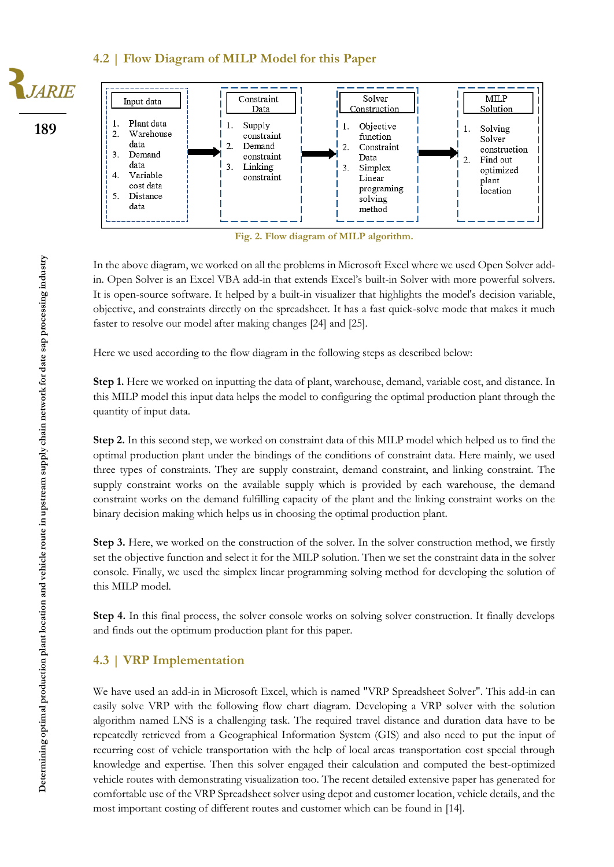#### **4.2 | Flow Diagram of MILP Model for this Paper**







**Fig. 2. Flow diagram of MILP algorithm.**

In the above diagram, we worked on all the problems in Microsoft Excel where we used Open Solver addin. Open Solver is an Excel VBA add-in that extends Excel's built-in Solver with more powerful solvers. It is open-source software. It helped by a built-in visualizer that highlights the model's decision variable, objective, and constraints directly on the spreadsheet. It has a fast quick-solve mode that makes it much faster to resolve our model after making changes [24] and [25].

Here we used according to the flow diagram in the following steps as described below:

**Step 1.** Here we worked on inputting the data of plant, warehouse, demand, variable cost, and distance. In this MILP model this input data helps the model to configuring the optimal production plant through the quantity of input data.

**Step 2.** In this second step, we worked on constraint data of this MILP model which helped us to find the optimal production plant under the bindings of the conditions of constraint data. Here mainly, we used three types of constraints. They are supply constraint, demand constraint, and linking constraint. The supply constraint works on the available supply which is provided by each warehouse, the demand constraint works on the demand fulfilling capacity of the plant and the linking constraint works on the binary decision making which helps us in choosing the optimal production plant.

**Step 3.** Here, we worked on the construction of the solver. In the solver construction method, we firstly set the objective function and select it for the MILP solution. Then we set the constraint data in the solver console. Finally, we used the simplex linear programming solving method for developing the solution of this MILP model.

**Step 4.** In this final process, the solver console works on solving solver construction. It finally develops and finds out the optimum production plant for this paper.

#### **4.3 | VRP Implementation**

We have used an add-in in Microsoft Excel, which is named "VRP Spreadsheet Solver". This add-in can easily solve VRP with the following flow chart diagram. Developing a VRP solver with the solution algorithm named LNS is a challenging task. The required travel distance and duration data have to be repeatedly retrieved from a Geographical Information System (GIS) and also need to put the input of recurring cost of vehicle transportation with the help of local areas transportation cost special through knowledge and expertise. Then this solver engaged their calculation and computed the best-optimized vehicle routes with demonstrating visualization too. The recent detailed extensive paper has generated for comfortable use of the VRP Spreadsheet solver using depot and customer location, vehicle details, and the most important costing of different routes and customer which can be found in [14].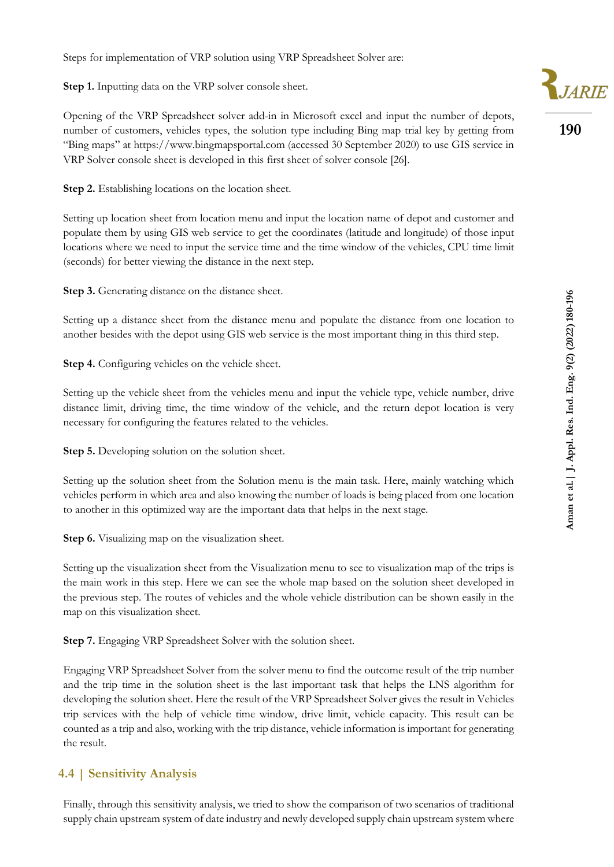Steps for implementation of VRP solution using VRP Spreadsheet Solver are:

**Step 1.** Inputting data on the VRP solver console sheet.

Opening of the VRP Spreadsheet solver add-in in Microsoft excel and input the number of depots, number of customers, vehicles types, the solution type including Bing map trial key by getting from "Bing maps" at https://www.bingmapsportal.com (accessed 30 September 2020) to use GIS service in VRP Solver console sheet is developed in this first sheet of solver console [26].

**Step 2.** Establishing locations on the location sheet.

Setting up location sheet from location menu and input the location name of depot and customer and populate them by using GIS web service to get the coordinates (latitude and longitude) of those input locations where we need to input the service time and the time window of the vehicles, CPU time limit (seconds) for better viewing the distance in the next step.

**Step 3.** Generating distance on the distance sheet.

Setting up a distance sheet from the distance menu and populate the distance from one location to another besides with the depot using GIS web service is the most important thing in this third step.

**Step 4.** Configuring vehicles on the vehicle sheet.

Setting up the vehicle sheet from the vehicles menu and input the vehicle type, vehicle number, drive distance limit, driving time, the time window of the vehicle, and the return depot location is very necessary for configuring the features related to the vehicles.

**Step 5.** Developing solution on the solution sheet.

Setting up the solution sheet from the Solution menu is the main task. Here, mainly watching which vehicles perform in which area and also knowing the number of loads is being placed from one location to another in this optimized way are the important data that helps in the next stage.

**Step 6.** Visualizing map on the visualization sheet.

Setting up the visualization sheet from the Visualization menu to see to visualization map of the trips is the main work in this step. Here we can see the whole map based on the solution sheet developed in the previous step. The routes of vehicles and the whole vehicle distribution can be shown easily in the map on this visualization sheet.

**Step 7.** Engaging VRP Spreadsheet Solver with the solution sheet.

Engaging VRP Spreadsheet Solver from the solver menu to find the outcome result of the trip number and the trip time in the solution sheet is the last important task that helps the LNS algorithm for developing the solution sheet. Here the result of the VRP Spreadsheet Solver gives the result in Vehicles trip services with the help of vehicle time window, drive limit, vehicle capacity. This result can be counted as a trip and also, working with the trip distance, vehicle information is important for generating the result.

#### **4.4 | Sensitivity Analysis**

Finally, through this sensitivity analysis, we tried to show the comparison of two scenarios of traditional supply chain upstream system of date industry and newly developed supply chain upstream system where

**190**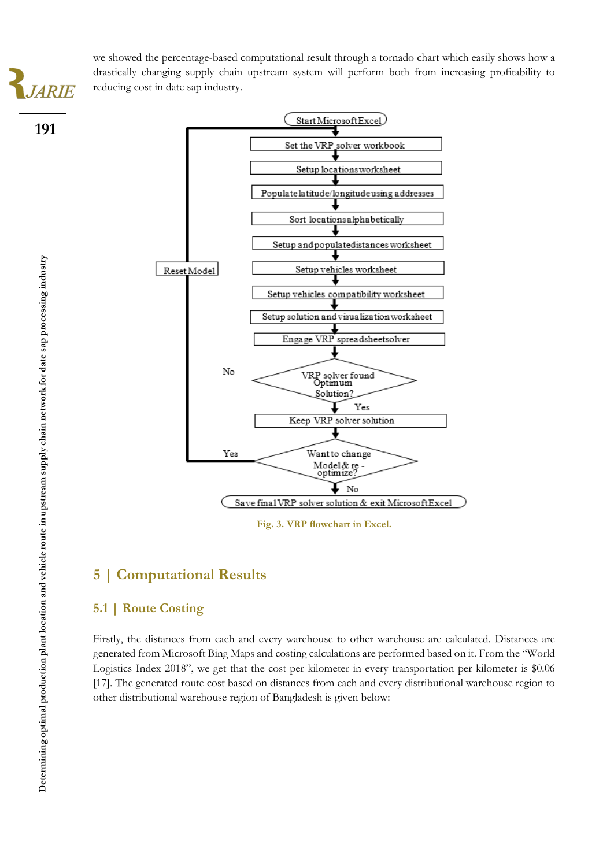**191**

we showed the percentage-based computational result through a tornado chart which easily shows how a drastically changing supply chain upstream system will perform both from increasing profitability to reducing cost in date sap industry.



**Fig. 3. VRP flowchart in Excel.**

# **5 | Computational Results**

#### **5.1 | Route Costing**

Firstly, the distances from each and every warehouse to other warehouse are calculated. Distances are generated from Microsoft Bing Maps and costing calculations are performed based on it. From the "World Logistics Index 2018", we get that the cost per kilometer in every transportation per kilometer is \$0.06 [17]. The generated route cost based on distances from each and every distributional warehouse region to other distributional warehouse region of Bangladesh is given below: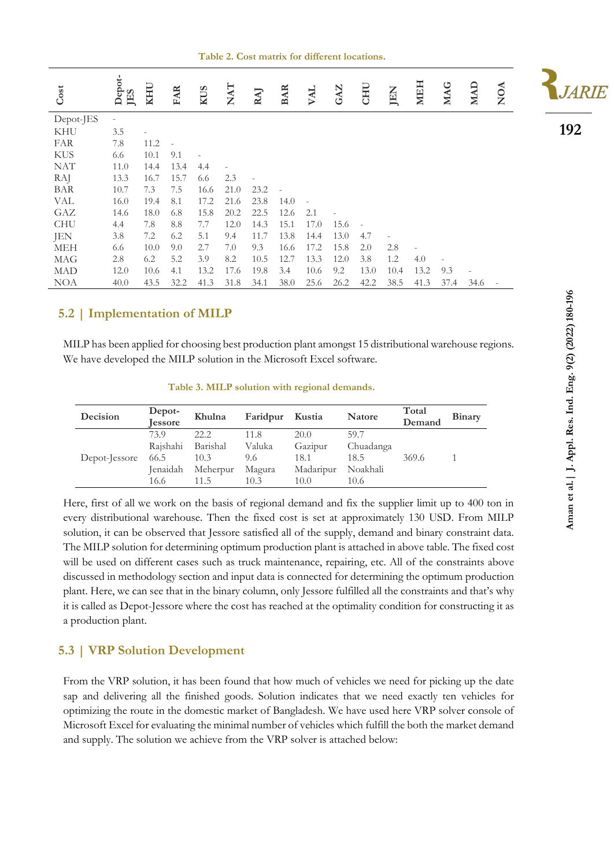**Table 2. Cost matrix for different locations.**

| Cost       | Depot-<br>JES | <b>KHU</b> | <b>FAR</b> | <b>KUS</b> | $\mathbf{NAT}$ | RAJ  | <b>BAR</b> | VAL  | GAZ  | <b>CHU</b> | JEN  | <b>MEH</b> | <b>MAG</b> | <b>MAD</b> | <b>NOA</b> | <i><b>IARIE</b></i> |
|------------|---------------|------------|------------|------------|----------------|------|------------|------|------|------------|------|------------|------------|------------|------------|---------------------|
| Depot-JES  |               |            |            |            |                |      |            |      |      |            |      |            |            |            |            |                     |
| KHU        | 3.5           |            |            |            |                |      |            |      |      |            |      |            |            |            |            | 192                 |
| FAR        | 7.8           | 11.2       |            |            |                |      |            |      |      |            |      |            |            |            |            |                     |
| <b>KUS</b> | 6.6           | 10.1       | 9.1        |            |                |      |            |      |      |            |      |            |            |            |            |                     |
| <b>NAT</b> | 11.0          | 14.4       | 13.4       | 4.4        |                |      |            |      |      |            |      |            |            |            |            |                     |
| <b>RAJ</b> | 13.3          | 16.7       | 15.7       | 6.6        | 2.3            |      |            |      |      |            |      |            |            |            |            |                     |
| BAR        | 10.7          | 7.3        | 7.5        | 16.6       | 21.0           | 23.2 |            |      |      |            |      |            |            |            |            |                     |
| VAL        | 16.0          | 19.4       | 8.1        | 17.2       | 21.6           | 23.8 | 14.0       |      |      |            |      |            |            |            |            |                     |
| GAZ        | 14.6          | 18.0       | 6.8        | 15.8       | 20.2           | 22.5 | 12.6       | 2.1  |      |            |      |            |            |            |            |                     |
| <b>CHU</b> | 4.4           | 7.8        | 8.8        | 7.7        | 12.0           | 14.3 | 15.1       | 17.0 | 15.6 |            |      |            |            |            |            |                     |
| JEN        | 3.8           | 7.2        | 6.2        | 5.1        | 9.4            | 11.7 | 13.8       | 14.4 | 13.0 | 4.7        |      |            |            |            |            |                     |
| <b>MEH</b> | 6.6           | 10.0       | 9.0        | 2.7        | 7.0            | 9.3  | 16.6       | 17.2 | 15.8 | 2.0        | 2.8  |            |            |            |            |                     |
| MAG        | 2.8           | 6.2        | 5.2        | 3.9        | 8.2            | 10.5 | 12.7       | 13.3 | 12.0 | 3.8        | 1.2  | 4.0        |            |            |            |                     |
| <b>MAD</b> | 12.0          | 10.6       | 4.1        | 13.2       | 17.6           | 19.8 | 3.4        | 10.6 | 9.2  | 13.0       | 10.4 | 13.2       | 9.3        |            |            |                     |
| <b>NOA</b> | 40.0          | 43.5       | 32.2       | 41.3       | 31.8           | 34.1 | 38.0       | 25.6 | 26.2 | 42.2       | 38.5 | 41.3       | 37.4       | 34.6       |            |                     |

#### **5.2 | Implementation of MILP**

MILP has been applied for choosing best production plant amongst 15 distributional warehouse regions. We have developed the MILP solution in the Microsoft Excel software.

|  |  |  | Table 3. MILP solution with regional demands. |
|--|--|--|-----------------------------------------------|
|  |  |  |                                               |

| Decision      | Depot-<br><b>Jessore</b> | Khulna   | Faridpur | Kustia    | <b>Natore</b> | Total<br>Demand | <b>Binary</b> |
|---------------|--------------------------|----------|----------|-----------|---------------|-----------------|---------------|
|               | 73.9                     | 22.2.    | 11.8     | 20.0      | 59.7          |                 |               |
|               | Raishahi                 | Barishal | Valuka   | Gazipur   | Chuadanga     |                 |               |
| Depot-Jessore | 66.5                     | 10.3     | 9.6      | 18.1      | 18.5          | 369.6           |               |
|               | <b>Jenaidah</b>          | Meherpur | Magura   | Madaripur | Noakhali      |                 |               |
|               | 16.6                     | 11.5     | 10.3     | 10.0      | 10.6          |                 |               |

Here, first of all we work on the basis of regional demand and fix the supplier limit up to 400 ton in every distributional warehouse. Then the fixed cost is set at approximately 130 USD. From MILP solution, it can be observed that Jessore satisfied all of the supply, demand and binary constraint data. The MILP solution for determining optimum production plant is attached in above table. The fixed cost will be used on different cases such as truck maintenance, repairing, etc. All of the constraints above discussed in methodology section and input data is connected for determining the optimum production plant. Here, we can see that in the binary column, only Jessore fulfilled all the constraints and that's why it is called as Depot-Jessore where the cost has reached at the optimality condition for constructing it as a production plant.

#### **5.3 | VRP Solution Development**

From the VRP solution, it has been found that how much of vehicles we need for picking up the date sap and delivering all the finished goods. Solution indicates that we need exactly ten vehicles for optimizing the route in the domestic market of Bangladesh. We have used here VRP solver console of Microsoft Excel for evaluating the minimal number of vehicles which fulfill the both the market demand and supply. The solution we achieve from the VRP solver is attached below: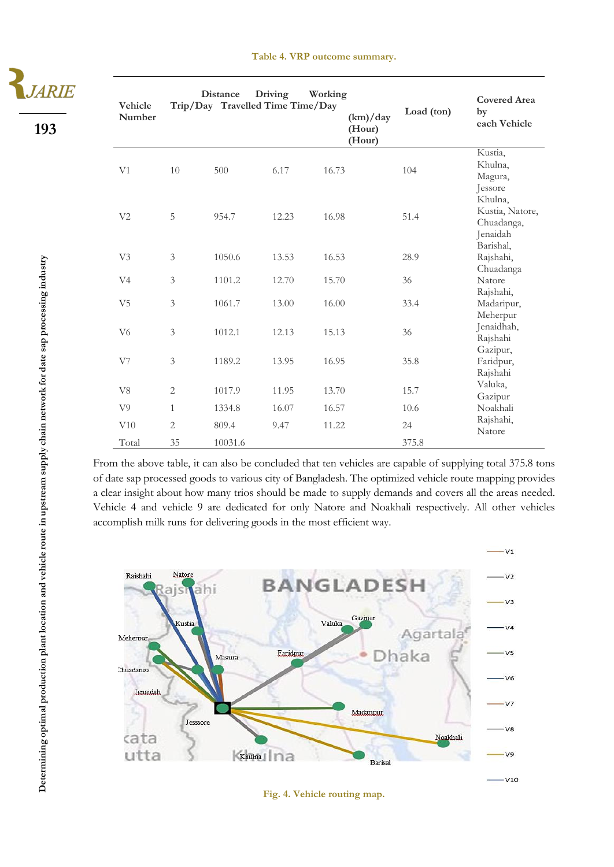**193**

| Vehicle<br>Number |                      | <b>Distance</b><br>Trip/Day Travelled Time Time/Day | Driving | Working | (km)/day<br>(Hour)<br>(Hour) | Load (ton)  | <b>Covered Area</b><br>by<br>each Vehicle            |
|-------------------|----------------------|-----------------------------------------------------|---------|---------|------------------------------|-------------|------------------------------------------------------|
| V1                | 10                   | 500                                                 | 6.17    | 16.73   |                              | 104         | Kustia,<br>Khulna,<br>Magura,<br>Jessore             |
| V <sub>2</sub>    | 5                    | 954.7                                               | 12.23   | 16.98   |                              | 51.4        | Khulna,<br>Kustia, Natore,<br>Chuadanga,<br>Jenaidah |
| V <sub>3</sub>    | $\mathfrak{Z}$       | 1050.6                                              | 13.53   | 16.53   |                              | 28.9        | Barishal,<br>Rajshahi,                               |
| V <sub>4</sub>    | $\mathfrak{Z}$       | 1101.2                                              | 12.70   | 15.70   |                              | 36          | Chuadanga<br>Natore                                  |
| V <sub>5</sub>    | $\mathfrak{Z}$       | 1061.7                                              | 13.00   | 16.00   |                              | 33.4        | Rajshahi,<br>Madaripur,<br>Meherpur                  |
| V <sub>6</sub>    | 3                    | 1012.1                                              | 12.13   | 15.13   |                              | 36          | Jenaidhah,<br>Rajshahi                               |
| V7                | 3                    | 1189.2                                              | 13.95   | 16.95   |                              | 35.8        | Gazipur,<br>Faridpur,<br>Rajshahi                    |
| V <sub>8</sub>    | $\mathbf{2}$         | 1017.9                                              | 11.95   | 13.70   |                              | 15.7        | Valuka,<br>Gazipur                                   |
| V <sub>9</sub>    | $\mathbf{1}$         | 1334.8                                              | 16.07   | 16.57   |                              | 10.6        | Noakhali                                             |
| V10<br>Total      | $\overline{2}$<br>35 | 809.4<br>10031.6                                    | 9.47    | 11.22   |                              | 24<br>375.8 | Rajshahi,<br>Natore                                  |

From the above table, it can also be concluded that ten vehicles are capable of supplying total 375.8 tons of date sap processed goods to various city of Bangladesh. The optimized vehicle route mapping provides a clear insight about how many trios should be made to supply demands and covers all the areas needed. Vehicle 4 and vehicle 9 are dedicated for only Natore and Noakhali respectively. All other vehicles accomplish milk runs for delivering goods in the most efficient way.



**Fig. 4. Vehicle routing map.**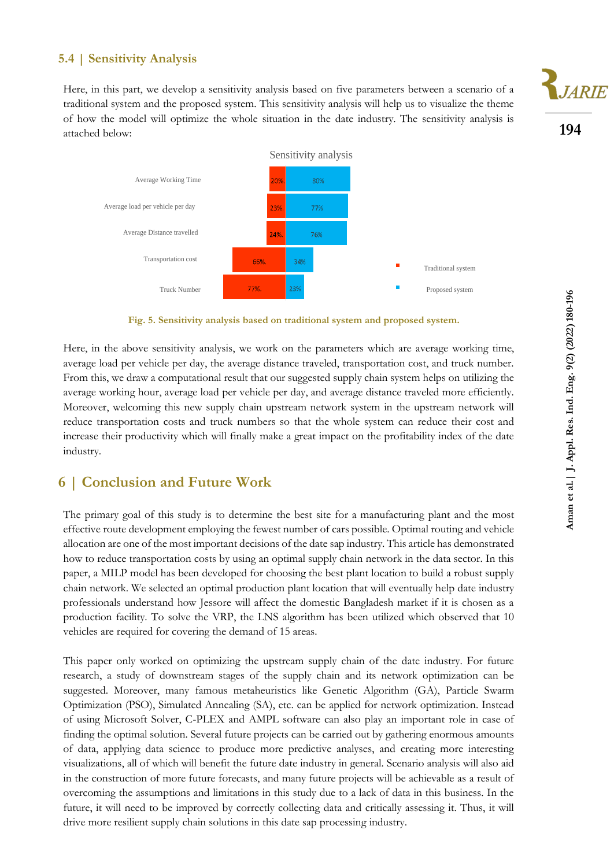#### **5.4 | Sensitivity Analysis**

Here, in this part, we develop a sensitivity analysis based on five parameters between a scenario of a traditional system and the proposed system. This sensitivity analysis will help us to visualize the theme of how the model will optimize the whole situation in the date industry. The sensitivity analysis is attached below:



**Fig. 5. Sensitivity analysis based on traditional system and proposed system.**

Here, in the above sensitivity analysis, we work on the parameters which are average working time, average load per vehicle per day, the average distance traveled, transportation cost, and truck number. From this, we draw a computational result that our suggested supply chain system helps on utilizing the average working hour, average load per vehicle per day, and average distance traveled more efficiently. Moreover, welcoming this new supply chain upstream network system in the upstream network will reduce transportation costs and truck numbers so that the whole system can reduce their cost and increase their productivity which will finally make a great impact on the profitability index of the date industry.

## **6 | Conclusion and Future Work**

The primary goal of this study is to determine the best site for a manufacturing plant and the most effective route development employing the fewest number of cars possible. Optimal routing and vehicle allocation are one of the most important decisions of the date sap industry. This article has demonstrated how to reduce transportation costs by using an optimal supply chain network in the data sector. In this paper, a MILP model has been developed for choosing the best plant location to build a robust supply chain network. We selected an optimal production plant location that will eventually help date industry professionals understand how Jessore will affect the domestic Bangladesh market if it is chosen as a production facility. To solve the VRP, the LNS algorithm has been utilized which observed that 10 vehicles are required for covering the demand of 15 areas.

This paper only worked on optimizing the upstream supply chain of the date industry. For future research, a study of downstream stages of the supply chain and its network optimization can be suggested. Moreover, many famous metaheuristics like Genetic Algorithm (GA), Particle Swarm Optimization (PSO), Simulated Annealing (SA), etc. can be applied for network optimization. Instead of using Microsoft Solver, C-PLEX and AMPL software can also play an important role in case of finding the optimal solution. Several future projects can be carried out by gathering enormous amounts of data, applying data science to produce more predictive analyses, and creating more interesting visualizations, all of which will benefit the future date industry in general. Scenario analysis will also aid in the construction of more future forecasts, and many future projects will be achievable as a result of overcoming the assumptions and limitations in this study due to a lack of data in this business. In the future, it will need to be improved by correctly collecting data and critically assessing it. Thus, it will drive more resilient supply chain solutions in this date sap processing industry.

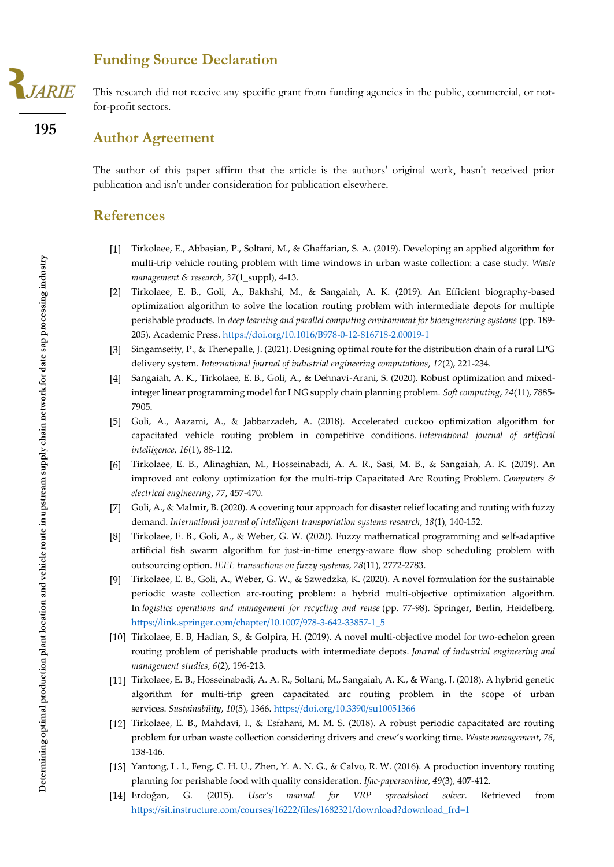**195**

## **Funding Source Declaration**

This research did not receive any specific grant from funding agencies in the public, commercial, or notfor-profit sectors.

## **Author Agreement**

The author of this paper affirm that the article is the authors' original work, hasn't received prior publication and isn't under consideration for publication elsewhere.

## **References**

- Tirkolaee, E., Abbasian, P., Soltani, M., & Ghaffarian, S. A. (2019). Developing an applied algorithm for multi-trip vehicle routing problem with time windows in urban waste collection: a case study. *Waste management & research*, *37*(1\_suppl), 4-13.
- Tirkolaee, E. B., Goli, A., Bakhshi, M., & Sangaiah, A. K. (2019). An Efficient biography-based optimization algorithm to solve the location routing problem with intermediate depots for multiple perishable products. In *deep learning and parallel computing environment for bioengineering systems* (pp. 189- 205). Academic Press.<https://doi.org/10.1016/B978-0-12-816718-2.00019-1>
- Singamsetty, P., & Thenepalle, J. (2021). Designing optimal route for the distribution chain of a rural LPG delivery system. *International journal of industrial engineering computations*, *12*(2), 221-234.
- Sangaiah, A. K., Tirkolaee, E. B., Goli, A., & Dehnavi-Arani, S. (2020). Robust optimization and mixedinteger linear programming model for LNG supply chain planning problem. *Soft computing*, *24*(11), 7885- 7905.
- [5] Goli, A., Aazami, A., & Jabbarzadeh, A. (2018). Accelerated cuckoo optimization algorithm for capacitated vehicle routing problem in competitive conditions. *International journal of artificial intelligence*, *16*(1), 88-112.
- Tirkolaee, E. B., Alinaghian, M., Hosseinabadi, A. A. R., Sasi, M. B., & Sangaiah, A. K. (2019). An improved ant colony optimization for the multi-trip Capacitated Arc Routing Problem. *Computers & electrical engineering*, *77*, 457-470.
- [7] Goli, A., & Malmir, B. (2020). A covering tour approach for disaster relief locating and routing with fuzzy demand. *International journal of intelligent transportation systems research*, *18*(1), 140-152.
- Tirkolaee, E. B., Goli, A., & Weber, G. W. (2020). Fuzzy mathematical programming and self-adaptive artificial fish swarm algorithm for just-in-time energy-aware flow shop scheduling problem with outsourcing option. *IEEE transactions on fuzzy systems*, *28*(11), 2772-2783.
- Tirkolaee, E. B., Goli, A., Weber, G. W., & Szwedzka, K. (2020). A novel formulation for the sustainable periodic waste collection arc-routing problem: a hybrid multi-objective optimization algorithm. In *logistics operations and management for recycling and reuse* (pp. 77-98). Springer, Berlin, Heidelberg. [https://link.springer.com/chapter/10.1007/978-3-642-33857-1\\_5](https://link.springer.com/chapter/10.1007/978-3-642-33857-1_5)
- Tirkolaee, E. B, Hadian, S., & Golpira, H. (2019). A novel multi-objective model for two-echelon green routing problem of perishable products with intermediate depots. *Journal of industrial engineering and management studies*, *6*(2), 196-213.
- Tirkolaee, E. B., Hosseinabadi, A. A. R., Soltani, M., Sangaiah, A. K., & Wang, J. (2018). A hybrid genetic algorithm for multi-trip green capacitated arc routing problem in the scope of urban services. *Sustainability*, *10*(5), 1366.<https://doi.org/10.3390/su10051366>
- Tirkolaee, E. B., Mahdavi, I., & Esfahani, M. M. S. (2018). A robust periodic capacitated arc routing problem for urban waste collection considering drivers and crew's working time. *Waste management*, *76*, 138-146.
- [13] Yantong, L. I., Feng, C. H. U., Zhen, Y. A. N. G., & Calvo, R. W. (2016). A production inventory routing planning for perishable food with quality consideration. *Ifac-papersonline*, *49*(3), 407-412.
- Erdoğan, G. (2015). *User's manual for VRP spreadsheet solver*. Retrieved from [https://sit.instructure.com/courses/16222/files/1682321/download?download\\_frd=1](https://sit.instructure.com/courses/16222/files/1682321/download?download_frd=1)